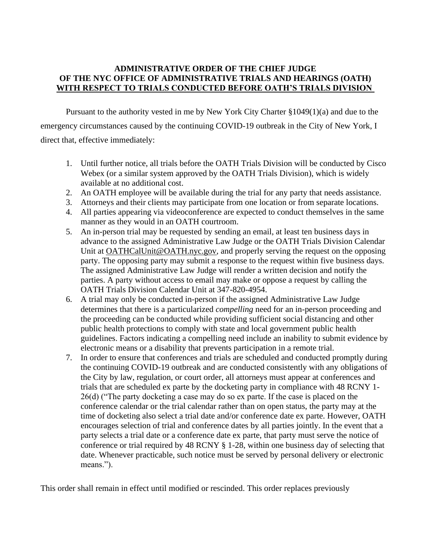## **ADMINISTRATIVE ORDER OF THE CHIEF JUDGE OF THE NYC OFFICE OF ADMINISTRATIVE TRIALS AND HEARINGS (OATH) WITH RESPECT TO TRIALS CONDUCTED BEFORE OATH'S TRIALS DIVISION**

Pursuant to the authority vested in me by New York City Charter §1049(1)(a) and due to the emergency circumstances caused by the continuing COVID-19 outbreak in the City of New York, I direct that, effective immediately:

- 1. Until further notice, all trials before the OATH Trials Division will be conducted by Cisco Webex (or a similar system approved by the OATH Trials Division), which is widely available at no additional cost.
- 2. An OATH employee will be available during the trial for any party that needs assistance.
- 3. Attorneys and their clients may participate from one location or from separate locations.
- 4. All parties appearing via videoconference are expected to conduct themselves in the same manner as they would in an OATH courtroom.
- 5. An in-person trial may be requested by sending an email, at least ten business days in advance to the assigned Administrative Law Judge or the OATH Trials Division Calendar Unit at [OATHCalUnit@OATH.nyc.gov,](https://csmail.nyc.gov/owa/redir.aspx?C=FzvQWnsvFplXYyDuFvZpFcYcdEZS4XTcGZW1nhIOiCdfzGVdsSzYCA..&URL=https%3a%2f%2fcsmail.nyc.gov%2fowa%2fredir.aspx%3fC%3duved3vr9sU8l_srUCM1Osk8CmlccYhDmyhP6TY7YXI_JR6PdqCzYCA..%26URL%3dmailto%25253aOATHCalUnit%252540OATH.nyc.gov) and properly serving the request on the opposing party. The opposing party may submit a response to the request within five business days. The assigned Administrative Law Judge will render a written decision and notify the parties. A party without access to email may make or oppose a request by calling the OATH Trials Division Calendar Unit at 347-820-4954.
- 6. A trial may only be conducted in-person if the assigned Administrative Law Judge determines that there is a particularized *compelling* need for an in-person proceeding and the proceeding can be conducted while providing sufficient social distancing and other public health protections to comply with state and local government public health guidelines. Factors indicating a compelling need include an inability to submit evidence by electronic means or a disability that prevents participation in a remote trial.
- 7. In order to ensure that conferences and trials are scheduled and conducted promptly during the continuing COVID-19 outbreak and are conducted consistently with any obligations of the City by law, regulation, or court order, all attorneys must appear at conferences and trials that are scheduled ex parte by the docketing party in compliance with 48 RCNY 1- 26(d) ("The party docketing a case may do so ex parte. If the case is placed on the conference calendar or the trial calendar rather than on open status, the party may at the time of docketing also select a trial date and/or conference date ex parte. However, OATH encourages selection of trial and conference dates by all parties jointly. In the event that a party selects a trial date or a conference date ex parte, that party must serve the notice of conference or trial required by 48 RCNY § 1-28, within one business day of selecting that date. Whenever practicable, such notice must be served by personal delivery or electronic means.").

This order shall remain in effect until modified or rescinded. This order replaces previously